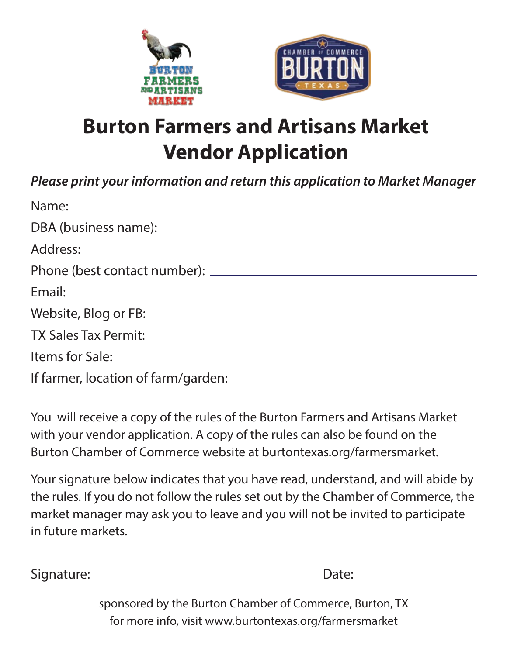



## **Burton Farmers and Artisans Market Vendor Application**

*Please print your information and return this application to Market Manager*

You will receive a copy of the rules of the Burton Farmers and Artisans Market with your vendor application. A copy of the rules can also be found on the Burton Chamber of Commerce website at burtontexas.org/farmersmarket.

Your signature below indicates that you have read, understand, and will abide by the rules. If you do not follow the rules set out by the Chamber of Commerce, the market manager may ask you to leave and you will not be invited to participate in future markets.

Signature: Date:

sponsored by the Burton Chamber of Commerce, Burton, TX for more info, visit www.burtontexas.org/farmersmarket